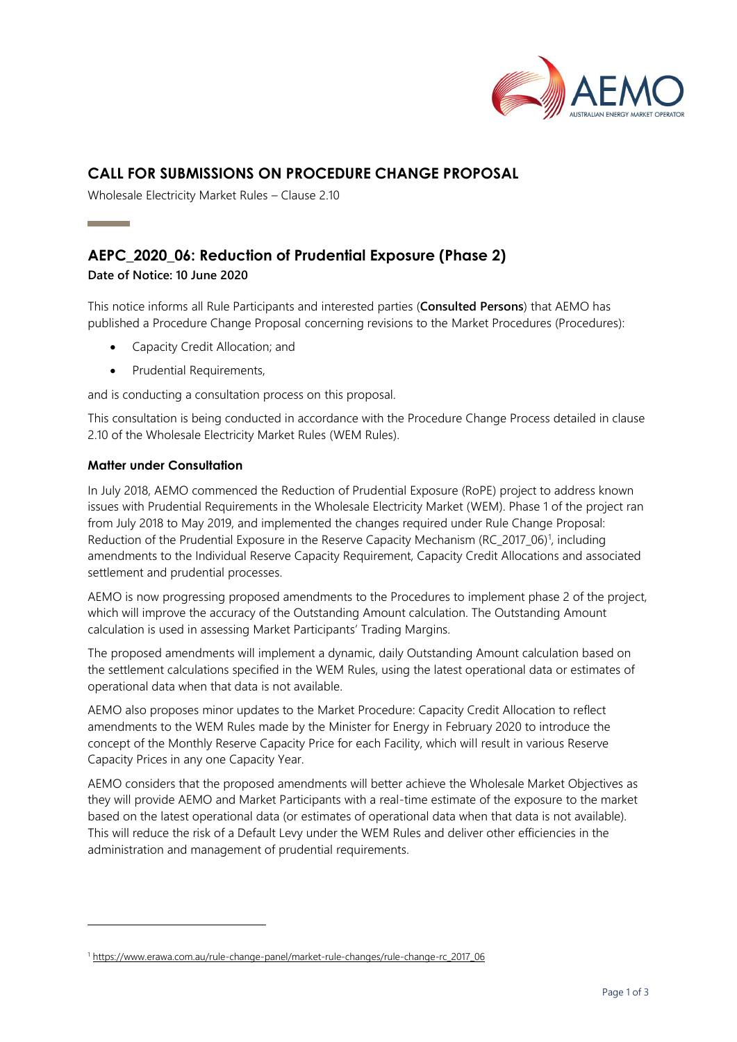

# **CALL FOR SUBMISSIONS ON PROCEDURE CHANGE PROPOSAL**

Wholesale Electricity Market Rules – Clause 2.10

# **AEPC\_2020\_06: Reduction of Prudential Exposure (Phase 2)**

**Date of Notice: 10 June 2020**

This notice informs all Rule Participants and interested parties (**Consulted Persons**) that AEMO has published a Procedure Change Proposal concerning revisions to the Market Procedures (Procedures):

- Capacity Credit Allocation; and
- Prudential Requirements,

and is conducting a consultation process on this proposal.

This consultation is being conducted in accordance with the Procedure Change Process detailed in clause 2.10 of the Wholesale Electricity Market Rules (WEM Rules).

## **Matter under Consultation**

In July 2018, AEMO commenced the Reduction of Prudential Exposure (RoPE) project to address known issues with Prudential Requirements in the Wholesale Electricity Market (WEM). Phase 1 of the project ran from July 2018 to May 2019, and implemented the changes required under Rule Change Proposal: Reduction of the Prudential Exposure in the Reserve Capacity Mechanism (RC\_2017\_06)<sup>1</sup>, including amendments to the Individual Reserve Capacity Requirement, Capacity Credit Allocations and associated settlement and prudential processes.

AEMO is now progressing proposed amendments to the Procedures to implement phase 2 of the project, which will improve the accuracy of the Outstanding Amount calculation. The Outstanding Amount calculation is used in assessing Market Participants' Trading Margins.

The proposed amendments will implement a dynamic, daily Outstanding Amount calculation based on the settlement calculations specified in the WEM Rules, using the latest operational data or estimates of operational data when that data is not available.

AEMO also proposes minor updates to the Market Procedure: Capacity Credit Allocation to reflect amendments to the WEM Rules made by the Minister for Energy in February 2020 to introduce the concept of the Monthly Reserve Capacity Price for each Facility, which will result in various Reserve Capacity Prices in any one Capacity Year.

AEMO considers that the proposed amendments will better achieve the Wholesale Market Objectives as they will provide AEMO and Market Participants with a real-time estimate of the exposure to the market based on the latest operational data (or estimates of operational data when that data is not available). This will reduce the risk of a Default Levy under the WEM Rules and deliver other efficiencies in the administration and management of prudential requirements.

<sup>1</sup> [https://www.erawa.com.au/rule-change-panel/market-rule-changes/rule-change-rc\\_2017\\_06](https://www.erawa.com.au/rule-change-panel/market-rule-changes/rule-change-rc_2017_06)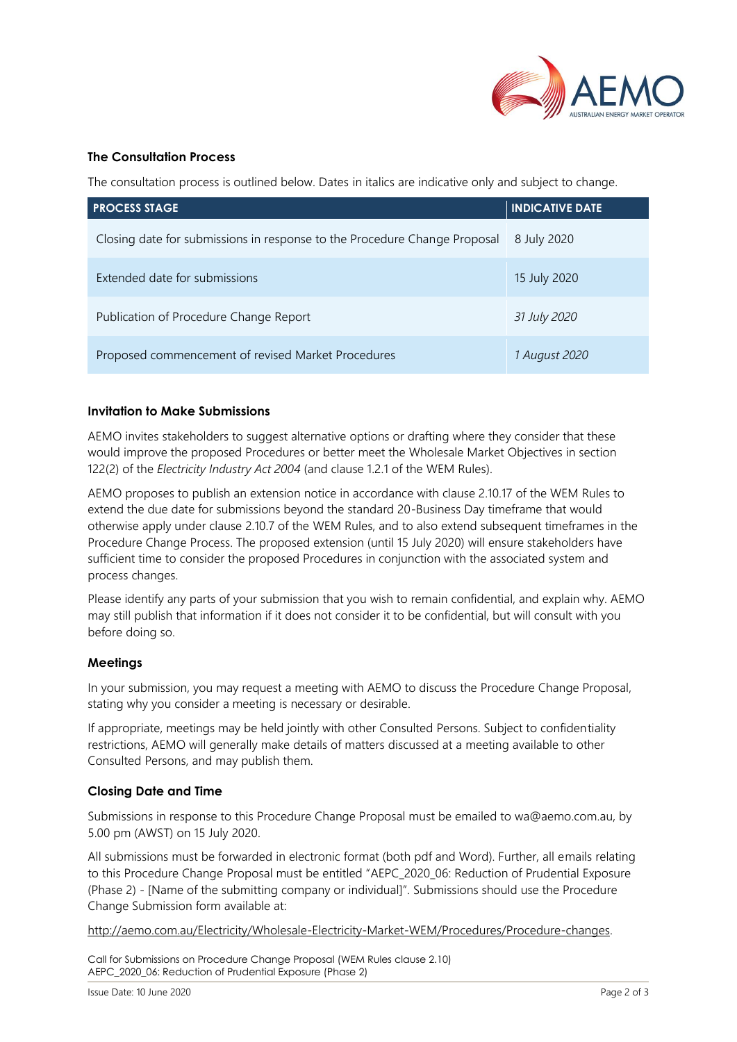

#### **The Consultation Process**

The consultation process is outlined below. Dates in italics are indicative only and subject to change.

| <b>PROCESS STAGE</b>                                                      | <b>INDICATIVE DATE</b> |
|---------------------------------------------------------------------------|------------------------|
| Closing date for submissions in response to the Procedure Change Proposal | 8 July 2020            |
| Extended date for submissions                                             | 15 July 2020           |
| Publication of Procedure Change Report                                    | 31 July 2020           |
| Proposed commencement of revised Market Procedures                        | 1 August 2020          |

#### **Invitation to Make Submissions**

AEMO invites stakeholders to suggest alternative options or drafting where they consider that these would improve the proposed Procedures or better meet the Wholesale Market Objectives in section 122(2) of the *Electricity Industry Act 2004* (and clause 1.2.1 of the WEM Rules).

AEMO proposes to publish an extension notice in accordance with clause 2.10.17 of the WEM Rules to extend the due date for submissions beyond the standard 20-Business Day timeframe that would otherwise apply under clause 2.10.7 of the WEM Rules, and to also extend subsequent timeframes in the Procedure Change Process. The proposed extension (until 15 July 2020) will ensure stakeholders have sufficient time to consider the proposed Procedures in conjunction with the associated system and process changes.

Please identify any parts of your submission that you wish to remain confidential, and explain why. AEMO may still publish that information if it does not consider it to be confidential, but will consult with you before doing so.

#### **Meetings**

In your submission, you may request a meeting with AEMO to discuss the Procedure Change Proposal, stating why you consider a meeting is necessary or desirable.

If appropriate, meetings may be held jointly with other Consulted Persons. Subject to confidentiality restrictions, AEMO will generally make details of matters discussed at a meeting available to other Consulted Persons, and may publish them.

#### **Closing Date and Time**

Submissions in response to this Procedure Change Proposal must be emailed to wa@aemo.com.au, by 5.00 pm (AWST) on 15 July 2020.

All submissions must be forwarded in electronic format (both pdf and Word). Further, all emails relating to this Procedure Change Proposal must be entitled "AEPC 2020 06: Reduction of Prudential Exposure (Phase 2) - [Name of the submitting company or individual]". Submissions should use the Procedure Change Submission form available at:

[http://aemo.com.au/Electricity/Wholesale-Electricity-Market-WEM/Procedures/Procedure-changes.](http://aemo.com.au/Electricity/Wholesale-Electricity-Market-WEM/Procedures/Procedure-changes)

Call for Submissions on Procedure Change Proposal (WEM Rules clause 2.10) AEPC\_2020\_06: Reduction of Prudential Exposure (Phase 2)